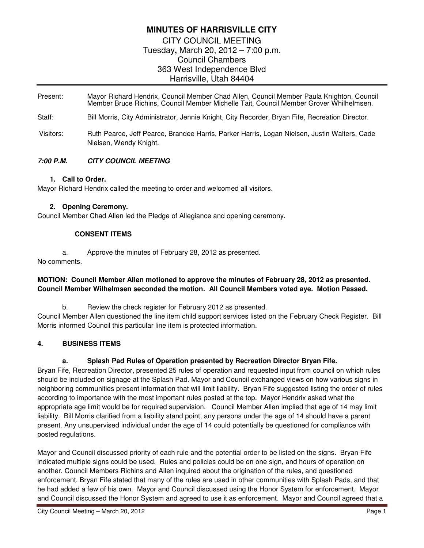## **MINUTES OF HARRISVILLE CITY**

CITY COUNCIL MEETING Tuesday**,** March 20, 2012 – 7:00 p.m. Council Chambers 363 West Independence Blvd Harrisville, Utah 84404

- Present: Mayor Richard Hendrix, Council Member Chad Allen, Council Member Paula Knighton, Council Member Bruce Richins, Council Member Michelle Tait, Council Member Grover Whilhelmsen.
- Staff: Bill Morris, City Administrator, Jennie Knight, City Recorder, Bryan Fife, Recreation Director.
- Visitors: Ruth Pearce, Jeff Pearce, Brandee Harris, Parker Harris, Logan Nielsen, Justin Walters, Cade Nielsen, Wendy Knight.

### **7:00 P.M. CITY COUNCIL MEETING**

#### **1. Call to Order.**

Mayor Richard Hendrix called the meeting to order and welcomed all visitors.

#### **2. Opening Ceremony.**

Council Member Chad Allen led the Pledge of Allegiance and opening ceremony.

#### **CONSENT ITEMS**

a. Approve the minutes of February 28, 2012 as presented.

No comments.

#### **MOTION: Council Member Allen motioned to approve the minutes of February 28, 2012 as presented. Council Member Wilhelmsen seconded the motion. All Council Members voted aye. Motion Passed.**

b. Review the check register for February 2012 as presented. Council Member Allen questioned the line item child support services listed on the February Check Register. Bill Morris informed Council this particular line item is protected information.

#### **4. BUSINESS ITEMS**

#### **a. Splash Pad Rules of Operation presented by Recreation Director Bryan Fife.**

Bryan Fife, Recreation Director, presented 25 rules of operation and requested input from council on which rules should be included on signage at the Splash Pad. Mayor and Council exchanged views on how various signs in neighboring communities present information that will limit liability. Bryan Fife suggested listing the order of rules according to importance with the most important rules posted at the top. Mayor Hendrix asked what the appropriate age limit would be for required supervision. Council Member Allen implied that age of 14 may limit liability. Bill Morris clarified from a liability stand point, any persons under the age of 14 should have a parent present. Any unsupervised individual under the age of 14 could potentially be questioned for compliance with posted regulations.

Mayor and Council discussed priority of each rule and the potential order to be listed on the signs. Bryan Fife indicated multiple signs could be used. Rules and policies could be on one sign, and hours of operation on another. Council Members Richins and Allen inquired about the origination of the rules, and questioned enforcement. Bryan Fife stated that many of the rules are used in other communities with Splash Pads, and that he had added a few of his own. Mayor and Council discussed using the Honor System for enforcement. Mayor and Council discussed the Honor System and agreed to use it as enforcement. Mayor and Council agreed that a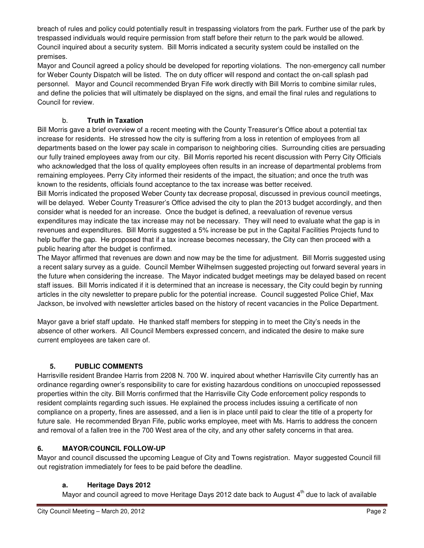breach of rules and policy could potentially result in trespassing violators from the park. Further use of the park by trespassed individuals would require permission from staff before their return to the park would be allowed. Council inquired about a security system. Bill Morris indicated a security system could be installed on the premises.

Mayor and Council agreed a policy should be developed for reporting violations. The non-emergency call number for Weber County Dispatch will be listed. The on duty officer will respond and contact the on-call splash pad personnel. Mayor and Council recommended Bryan Fife work directly with Bill Morris to combine similar rules, and define the policies that will ultimately be displayed on the signs, and email the final rules and regulations to Council for review.

## b. **Truth in Taxation**

Bill Morris gave a brief overview of a recent meeting with the County Treasurer's Office about a potential tax increase for residents. He stressed how the city is suffering from a loss in retention of employees from all departments based on the lower pay scale in comparison to neighboring cities. Surrounding cities are persuading our fully trained employees away from our city. Bill Morris reported his recent discussion with Perry City Officials who acknowledged that the loss of quality employees often results in an increase of departmental problems from remaining employees. Perry City informed their residents of the impact, the situation; and once the truth was known to the residents, officials found acceptance to the tax increase was better received.

Bill Morris indicated the proposed Weber County tax decrease proposal, discussed in previous council meetings, will be delayed. Weber County Treasurer's Office advised the city to plan the 2013 budget accordingly, and then consider what is needed for an increase. Once the budget is defined, a reevaluation of revenue versus expenditures may indicate the tax increase may not be necessary. They will need to evaluate what the gap is in revenues and expenditures. Bill Morris suggested a 5% increase be put in the Capital Facilities Projects fund to help buffer the gap. He proposed that if a tax increase becomes necessary, the City can then proceed with a public hearing after the budget is confirmed.

The Mayor affirmed that revenues are down and now may be the time for adjustment. Bill Morris suggested using a recent salary survey as a guide. Council Member Wilhelmsen suggested projecting out forward several years in the future when considering the increase. The Mayor indicated budget meetings may be delayed based on recent staff issues. Bill Morris indicated if it is determined that an increase is necessary, the City could begin by running articles in the city newsletter to prepare public for the potential increase. Council suggested Police Chief, Max Jackson, be involved with newsletter articles based on the history of recent vacancies in the Police Department.

Mayor gave a brief staff update. He thanked staff members for stepping in to meet the City's needs in the absence of other workers. All Council Members expressed concern, and indicated the desire to make sure current employees are taken care of.

# **5. PUBLIC COMMENTS**

Harrisville resident Brandee Harris from 2208 N. 700 W. inquired about whether Harrisville City currently has an ordinance regarding owner's responsibility to care for existing hazardous conditions on unoccupied repossessed properties within the city. Bill Morris confirmed that the Harrisville City Code enforcement policy responds to resident complaints regarding such issues. He explained the process includes issuing a certificate of non compliance on a property, fines are assessed, and a lien is in place until paid to clear the title of a property for future sale. He recommended Bryan Fife, public works employee, meet with Ms. Harris to address the concern and removal of a fallen tree in the 700 West area of the city, and any other safety concerns in that area.

## **6. MAYOR/COUNCIL FOLLOW-UP**

Mayor and council discussed the upcoming League of City and Towns registration. Mayor suggested Council fill out registration immediately for fees to be paid before the deadline.

## **a. Heritage Days 2012**

Mayor and council agreed to move Heritage Days 2012 date back to August 4<sup>th</sup> due to lack of available